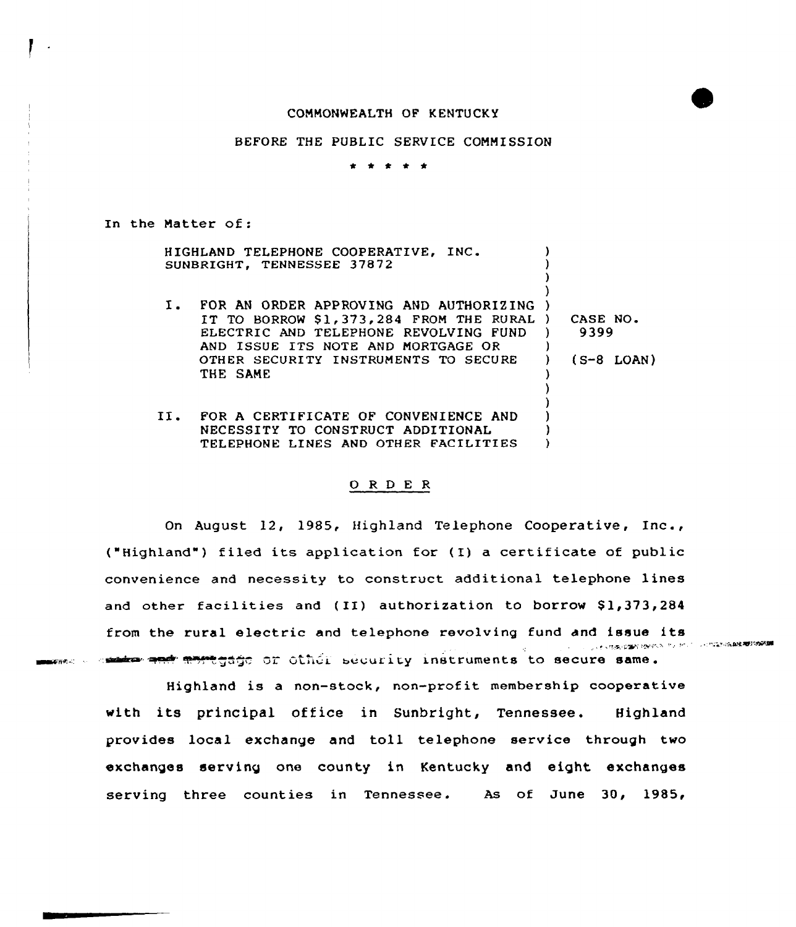## COMMONWEALTH OF KENTUCKY

## BEFORE THE PUBLIC SERVICE COMMISSION

\* \* <sup>~</sup> \* \*

In the Matter of: HIGHLAND TELEPHONE COOPERATIVE, INC. SUNBRIGHT, TENNESSEE 37872 I. FOR AN ORDER APPROVING AND AUTHORIZING )<br>I TO BOODEN ALL BURGHAM DELL BURNI ) IT TO BORROW  $$1,373,284$  FROM THE RURAL) ELECTRIC AND TELEPHONE REVOLVING FUND AND ISSUE ITS NOTE AND MORTGAGE OR OTHER SECURITY INSTRUMENTS TO SECURE THE SAME II. FOR A CERTIFICATE OF CONVENIENCE AND NECESSITY TO CONSTRUCT ADDITIONAL TELEPHONE LINES AND OTHER FACILITIES ) ) ) ) ) CASE NO. ) 9399 ) ) ( S-8 LOAN } ) ) ) ) ) )

## 0 R <sup>D</sup> E <sup>R</sup>

On August 12, 1985, Highland Telephone Cooperative, Inc., ("Highland") filed its application for (I) a certificate of public convenience and necessity to construct additional telephone lines and other facilities and (II) authorization to borrow  $$1,373,284$ from the rural electric and telephone revolving fund and issue its .,z, ~;;~'f.X state and myricio or other security instruments to secure same.

Highland is <sup>a</sup> non-stock, non-prof it membership cooperative with its principal office in Sunbright, Tennessee. Highland provides local exchange and to11 telephone service through two exchanges serving one county in Kentucky and eight exchanges serving three counties in Tennessee. As of June 30, 1985,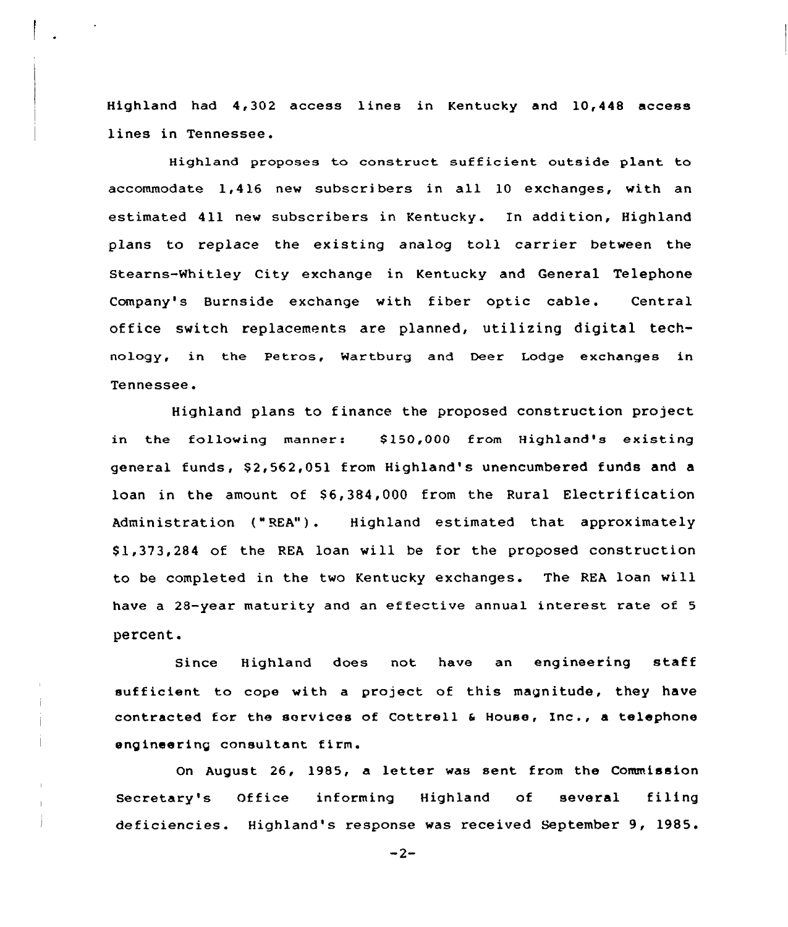Highland had 4,302 access lines in Kentucky and 10,448 access lines in Tennessee.

Highland proposes to construct sufficient outside plant to accommodate 1,416 new subscribers in all 10 exchanges, with an estimated 411 new subscribers in Kentucky. In addition, Highland plans to replace the existing analog toll carrier between the Stearns-Nhitley City exchange in Kentucky and General Telephone Company's Burnside exchange vith fiber optic cable. Central office switch replacements are planned, utilizing digital technology, in the Petros, Hartburg and Deer Lodge exchanges in Tennessee.

Highland plans to finance the proposed construction project in the following manner: \$150,000 from Highland's existing general funds, S2,562,051 from Highland's unencumbered funds and a loan in the amount of \$6,384,000 from the Rural Electrification Administration ("REA"). Highland estimated that approximately 81,373,284 of the REA loan vill be for the proposed construction to be completed in the two Kentucky exchanges. The REA loan will have a 28-year maturity and an effective annual interest rate of <sup>5</sup> percent.

Since Highland does not have an engineering staff sufficient to cope with a project of this magnitude, they have contracted for the services of Cottrell <sup>a</sup> House, Inc., <sup>a</sup> telephone engineering consultant firm.

On August 26, 1985, a letter was sent from the Commission Secretary's Office informing Highland of several filing deficiencies. Highland's response was received September 9, 1985.

 $-2-$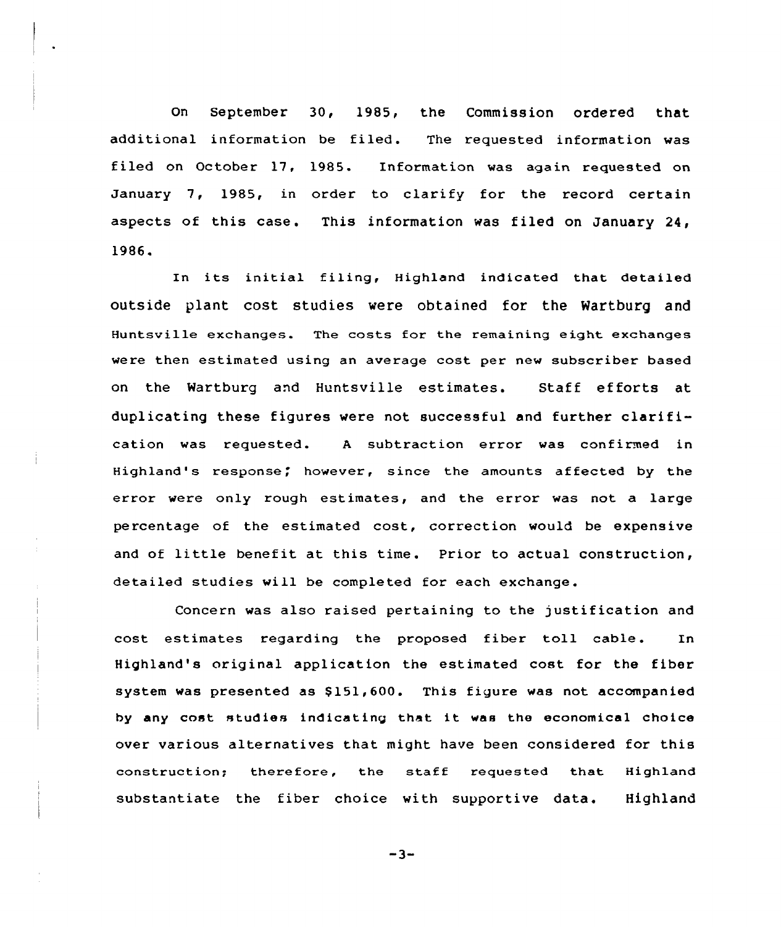On September 30, 1985, the Commission ordered that additional information be filed. The requested information was filed on October 17, 1985. Information was again requested on January 7, 1985, in order to clarify for the record certain aspects of this case. This information was filed on January 24, 1986.

In its initial filing, Highland indicated that detailed outside plant cost studies were obtained for the Wartburg and Huntsville exchanges. The costs for the remaining eight exchanges were then estimated using an average cost per new subscriber based on the Wartburg and Huntsville estimates. Staff efforts at duplicating these figures were not successful and further clarification was requested. <sup>A</sup> subtraction error was confirmed in Highland's response, however, since the amounts affected by the error were only rough estimates, and the error was not a large percentage of the estimated cost, correction would be expensive and of little benefit at this time. Prior to actual construction, detailed studies will be completed for each exchange.

Concern was also raised pertaining to the justification and cost estimates regarding the proposed fiber toll cable. In Highland's original application the estimated cost for the fiber system was presented as \$151,600. This figure was not accompanied by any cost studies indicating that it was the economical choice over various alternatives that might have been considered for this construction; therefore, the staff requested that Highland substantiate the fiber choice with supportive data. Highland

 $-3-$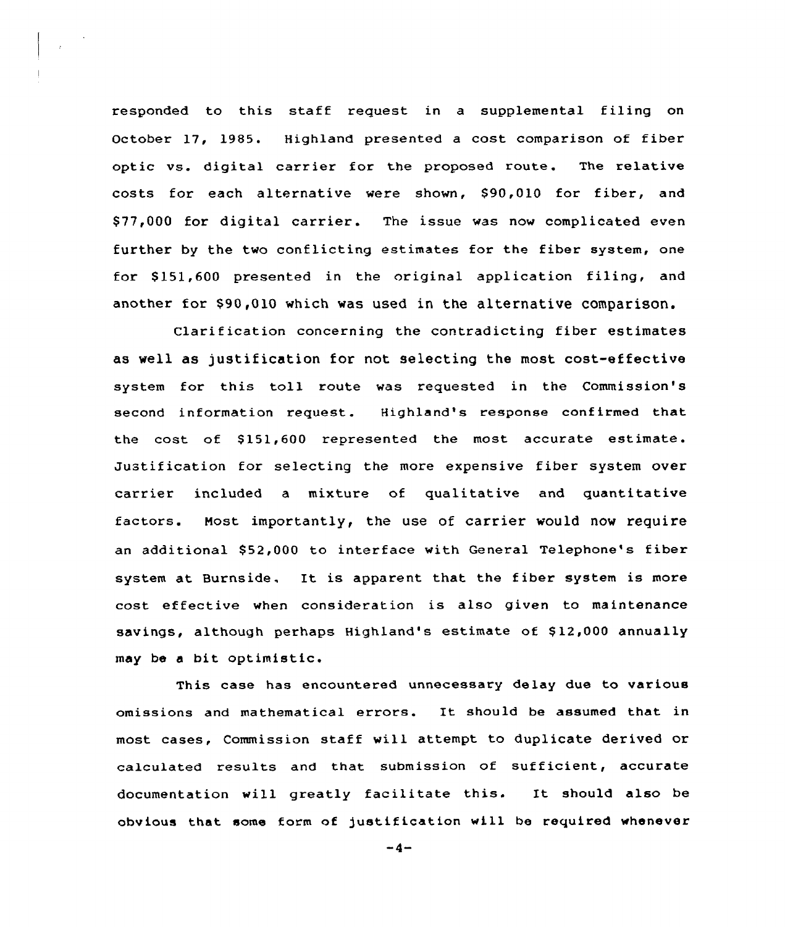responded to this staff request in a supplemental filing on October 17, 1985. Highland presented a cost comparison of fiber optic vs. digital carrier for the proposed route. The relative costs for each alternative were shown, \$90,010 for fiber, and \$ 77,000 for digital carrier. The issue was now complicated even further by the two conflicting estimates for the fiber system, one for \$151,600 presented in the original application filing, and another for \$90,010 which was used in the alternative comparison.

Clarification concerning the contradicting fiber estimates as well as justification for not selecting the most cost-effective system for this toll route was requested in the Commission's second information request. Highland's response confirmed that the cost of \$151,600 represented the most accurate estimate. Justification for selecting the more expensive fiber system over carrier included a mixture of qualitative and quantitative factors. Host importantly, the use of carrier would now require an additional \$52,000 to interface with General Telephone's fiber system at Burnside. It is apparent that the fiber system is more cost effective when consideration is also given to maintenance savings, although perhaps Highland's estimate of \$12,000 annually may be <sup>a</sup> bit optimistic.

This case has encountered unnecessary delay due to various omissions and mathematical errors. It should be assumed that in most cases, Commission staff will attempt to duplicate derived or calculated results and that submission of sufficient, accurate documentation will greatly facilitate this. It should also be obvious that some form of justification will be required whenever

 $-4-$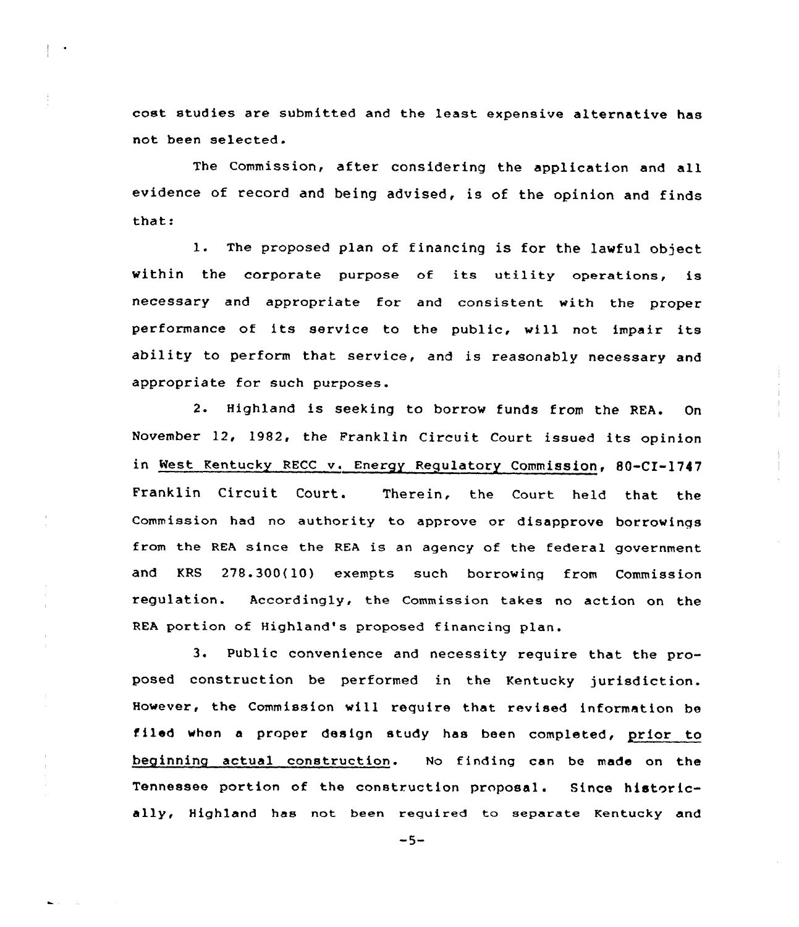cost studies are submitted and the least expensive alternative has not been selected.

The Commission, after considering the application and all evidence of record and being advised, is of the opinion and finds that:

1. The proposed plan of financing is for the lawful object within the corporate purpose of its utility operations, is necessary and appropriate for and consistent with the proper performance of its service to the public, will not impair its ability to perform that service, and is reasonably necessary and appropriate for such purposes.

2. Highland is seeking to borrow funds from the REA. On November 12, 1982, the Franklin Circuit Court issued its opinion in West Kentucky RECC v. Energy Regulatory Commission, 80-CI-1747 Franklin Circuit Court. Therein, the Court held that the Commission had no authority to approve or disapprove borrowings from the REA since the REA is an agency of the federal government and KRS 278.300(10) exempts such borrowing from Commission regulation. Accordingly, the Commission takes no action on the REA portion of Highland's proposed financing plan.

3. Public convenience and necessity require that the proposed construction be performed in the Kentucky jurisdiction. However, the Commission will require that revised information be filed when <sup>a</sup> proper design study has been completed, prior to beginning actual constructicn. No finding can be made on the Tennessee portion of the construction proposal. Since historically, Highland has not been required to separate Kentucky and

 $-5-$